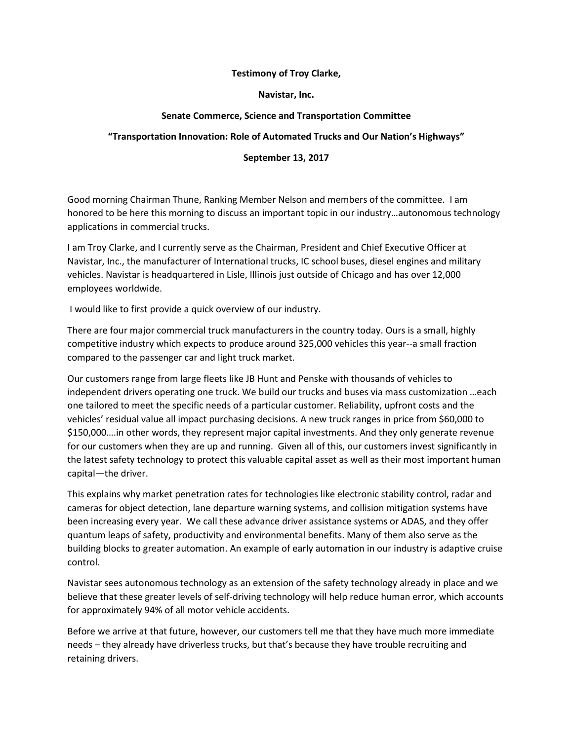## **Testimony of Troy Clarke,**

**Navistar, Inc.** 

## **Senate Commerce, Science and Transportation Committee**

## **"Transportation Innovation: Role of Automated Trucks and Our Nation's Highways"**

## **September 13, 2017**

Good morning Chairman Thune, Ranking Member Nelson and members of the committee. I am honored to be here this morning to discuss an important topic in our industry…autonomous technology applications in commercial trucks.

I am Troy Clarke, and I currently serve as the Chairman, President and Chief Executive Officer at Navistar, Inc., the manufacturer of International trucks, IC school buses, diesel engines and military vehicles. Navistar is headquartered in Lisle, Illinois just outside of Chicago and has over 12,000 employees worldwide.

I would like to first provide a quick overview of our industry.

There are four major commercial truck manufacturers in the country today. Ours is a small, highly competitive industry which expects to produce around 325,000 vehicles this year--a small fraction compared to the passenger car and light truck market.

Our customers range from large fleets like JB Hunt and Penske with thousands of vehicles to independent drivers operating one truck. We build our trucks and buses via mass customization …each one tailored to meet the specific needs of a particular customer. Reliability, upfront costs and the vehicles' residual value all impact purchasing decisions. A new truck ranges in price from \$60,000 to \$150,000….in other words, they represent major capital investments. And they only generate revenue for our customers when they are up and running. Given all of this, our customers invest significantly in the latest safety technology to protect this valuable capital asset as well as their most important human capital—the driver.

This explains why market penetration rates for technologies like electronic stability control, radar and cameras for object detection, lane departure warning systems, and collision mitigation systems have been increasing every year. We call these advance driver assistance systems or ADAS, and they offer quantum leaps of safety, productivity and environmental benefits. Many of them also serve as the building blocks to greater automation. An example of early automation in our industry is adaptive cruise control.

Navistar sees autonomous technology as an extension of the safety technology already in place and we believe that these greater levels of self-driving technology will help reduce human error, which accounts for approximately 94% of all motor vehicle accidents.

Before we arrive at that future, however, our customers tell me that they have much more immediate needs – they already have driverless trucks, but that's because they have trouble recruiting and retaining drivers.